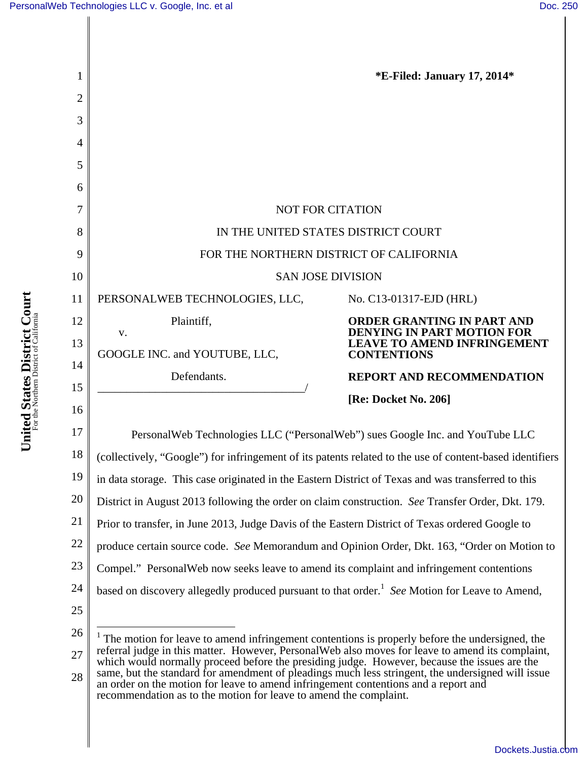**United States District Court** For the Northern District of California

United States District Court



[Dockets.Justia.com](http://dockets.justia.com/)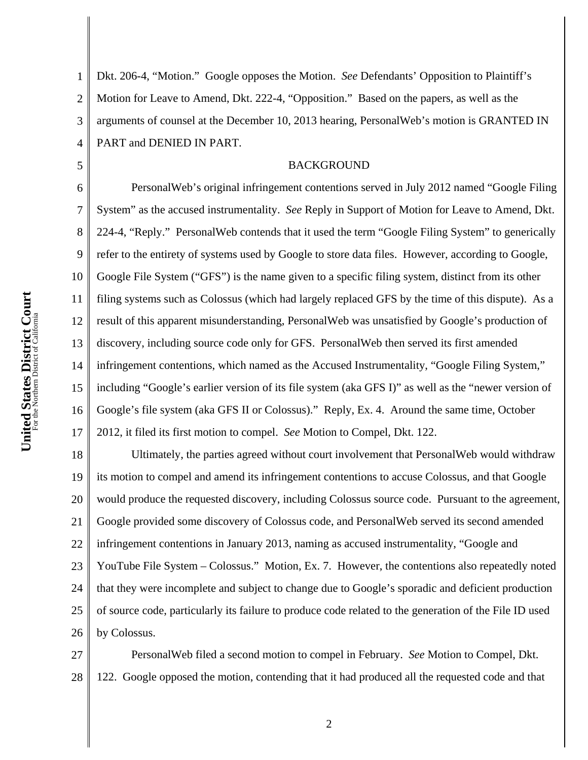5

1 2 3 4 Dkt. 206-4, "Motion." Google opposes the Motion. *See* Defendants' Opposition to Plaintiff's Motion for Leave to Amend, Dkt. 222-4, "Opposition." Based on the papers, as well as the arguments of counsel at the December 10, 2013 hearing, PersonalWeb's motion is GRANTED IN PART and DENIED IN PART.

### BACKGROUND

6 7 8 9 10 11 12 13 14 15 16 17 PersonalWeb's original infringement contentions served in July 2012 named "Google Filing System" as the accused instrumentality. *See* Reply in Support of Motion for Leave to Amend, Dkt. 224-4, "Reply." PersonalWeb contends that it used the term "Google Filing System" to generically refer to the entirety of systems used by Google to store data files. However, according to Google, Google File System ("GFS") is the name given to a specific filing system, distinct from its other filing systems such as Colossus (which had largely replaced GFS by the time of this dispute). As a result of this apparent misunderstanding, PersonalWeb was unsatisfied by Google's production of discovery, including source code only for GFS. PersonalWeb then served its first amended infringement contentions, which named as the Accused Instrumentality, "Google Filing System," including "Google's earlier version of its file system (aka GFS I)" as well as the "newer version of Google's file system (aka GFS II or Colossus)." Reply, Ex. 4. Around the same time, October 2012, it filed its first motion to compel. *See* Motion to Compel, Dkt. 122.

18 19 20 21 22 23 24 25 26 Ultimately, the parties agreed without court involvement that PersonalWeb would withdraw its motion to compel and amend its infringement contentions to accuse Colossus, and that Google would produce the requested discovery, including Colossus source code. Pursuant to the agreement, Google provided some discovery of Colossus code, and PersonalWeb served its second amended infringement contentions in January 2013, naming as accused instrumentality, "Google and YouTube File System – Colossus." Motion, Ex. 7. However, the contentions also repeatedly noted that they were incomplete and subject to change due to Google's sporadic and deficient production of source code, particularly its failure to produce code related to the generation of the File ID used by Colossus.

27 28 PersonalWeb filed a second motion to compel in February. *See* Motion to Compel, Dkt. 122. Google opposed the motion, contending that it had produced all the requested code and that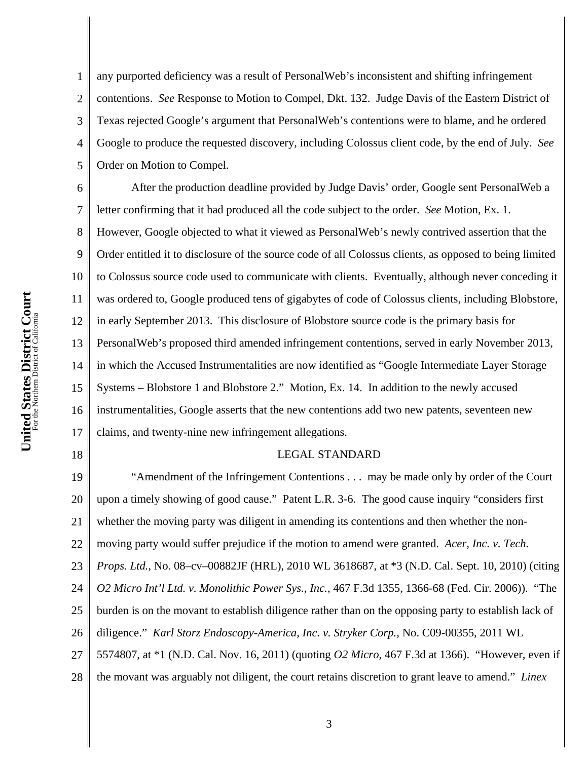18

1 2 3 4 5 any purported deficiency was a result of PersonalWeb's inconsistent and shifting infringement contentions. *See* Response to Motion to Compel, Dkt. 132. Judge Davis of the Eastern District of Texas rejected Google's argument that PersonalWeb's contentions were to blame, and he ordered Google to produce the requested discovery, including Colossus client code, by the end of July. *See*  Order on Motion to Compel.

6 7 8 9 10 11 12 13 14 15 16 17 After the production deadline provided by Judge Davis' order, Google sent PersonalWeb a letter confirming that it had produced all the code subject to the order. *See* Motion, Ex. 1. However, Google objected to what it viewed as PersonalWeb's newly contrived assertion that the Order entitled it to disclosure of the source code of all Colossus clients, as opposed to being limited to Colossus source code used to communicate with clients. Eventually, although never conceding it was ordered to, Google produced tens of gigabytes of code of Colossus clients, including Blobstore, in early September 2013. This disclosure of Blobstore source code is the primary basis for PersonalWeb's proposed third amended infringement contentions, served in early November 2013, in which the Accused Instrumentalities are now identified as "Google Intermediate Layer Storage Systems – Blobstore 1 and Blobstore 2." Motion, Ex. 14. In addition to the newly accused instrumentalities, Google asserts that the new contentions add two new patents, seventeen new claims, and twenty-nine new infringement allegations.

#### LEGAL STANDARD

19 20 21 22 23 24 25 26 27 28 "Amendment of the Infringement Contentions . . . may be made only by order of the Court upon a timely showing of good cause." Patent L.R. 3-6. The good cause inquiry "considers first whether the moving party was diligent in amending its contentions and then whether the nonmoving party would suffer prejudice if the motion to amend were granted. *Acer, Inc. v. Tech. Props. Ltd.*, No. 08–cv–00882JF (HRL), 2010 WL 3618687, at \*3 (N.D. Cal. Sept. 10, 2010) (citing *O2 Micro Int'l Ltd. v. Monolithic Power Sys., Inc.*, 467 F.3d 1355, 1366-68 (Fed. Cir. 2006)). "The burden is on the movant to establish diligence rather than on the opposing party to establish lack of diligence." *Karl Storz Endoscopy-America, Inc. v. Stryker Corp.*, No. C09-00355, 2011 WL 5574807, at \*1 (N.D. Cal. Nov. 16, 2011) (quoting *O2 Micro*, 467 F.3d at 1366). "However, even if the movant was arguably not diligent, the court retains discretion to grant leave to amend." *Linex*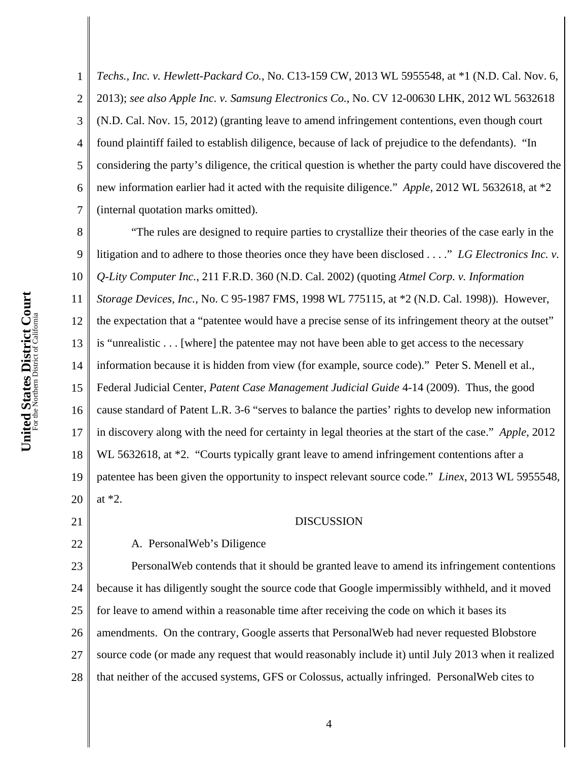1 2 3 4 5 6 7 *Techs., Inc. v. Hewlett-Packard Co.*, No. C13-159 CW, 2013 WL 5955548, at \*1 (N.D. Cal. Nov. 6, 2013); *see also Apple Inc. v. Samsung Electronics Co.*, No. CV 12-00630 LHK, 2012 WL 5632618 (N.D. Cal. Nov. 15, 2012) (granting leave to amend infringement contentions, even though court found plaintiff failed to establish diligence, because of lack of prejudice to the defendants). "In considering the party's diligence, the critical question is whether the party could have discovered the new information earlier had it acted with the requisite diligence." *Apple*, 2012 WL 5632618, at \*2 (internal quotation marks omitted).

8 9 10 11 12 13 14 15 16 17 18 19 20 "The rules are designed to require parties to crystallize their theories of the case early in the litigation and to adhere to those theories once they have been disclosed . . . ." *LG Electronics Inc. v. Q-Lity Computer Inc.*, 211 F.R.D. 360 (N.D. Cal. 2002) (quoting *Atmel Corp. v. Information Storage Devices, Inc.*, No. C 95-1987 FMS, 1998 WL 775115, at \*2 (N.D. Cal. 1998)). However, the expectation that a "patentee would have a precise sense of its infringement theory at the outset" is "unrealistic . . . [where] the patentee may not have been able to get access to the necessary information because it is hidden from view (for example, source code)." Peter S. Menell et al., Federal Judicial Center, *Patent Case Management Judicial Guide* 4-14 (2009). Thus, the good cause standard of Patent L.R. 3-6 "serves to balance the parties' rights to develop new information in discovery along with the need for certainty in legal theories at the start of the case." *Apple*, 2012 WL 5632618, at  $*2$ . "Courts typically grant leave to amend infringement contentions after a patentee has been given the opportunity to inspect relevant source code." *Linex*, 2013 WL 5955548, at \*2.

21

22

- DISCUSSION
- A. PersonalWeb's Diligence

23 24 25 26 27 28 PersonalWeb contends that it should be granted leave to amend its infringement contentions because it has diligently sought the source code that Google impermissibly withheld, and it moved for leave to amend within a reasonable time after receiving the code on which it bases its amendments. On the contrary, Google asserts that PersonalWeb had never requested Blobstore source code (or made any request that would reasonably include it) until July 2013 when it realized that neither of the accused systems, GFS or Colossus, actually infringed. PersonalWeb cites to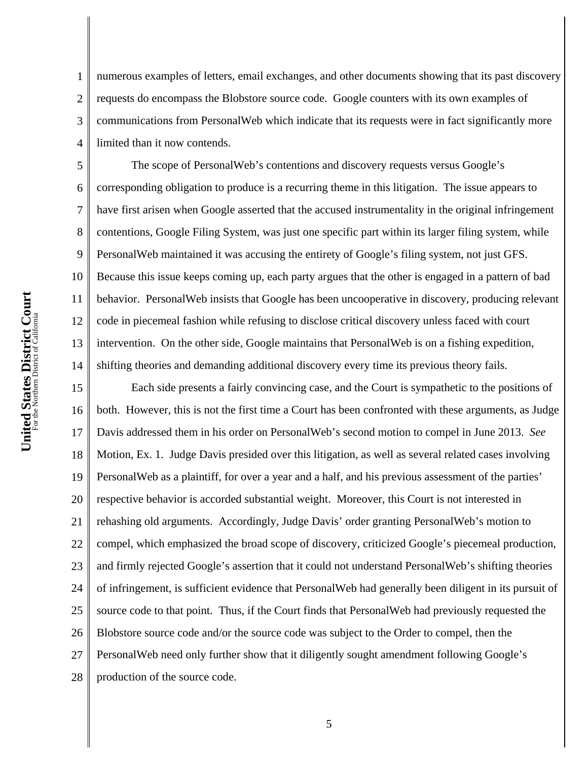1 2 3 4 numerous examples of letters, email exchanges, and other documents showing that its past discovery requests do encompass the Blobstore source code. Google counters with its own examples of communications from PersonalWeb which indicate that its requests were in fact significantly more limited than it now contends.

5 6 7 8 9 10 11 12 13 14 The scope of PersonalWeb's contentions and discovery requests versus Google's corresponding obligation to produce is a recurring theme in this litigation. The issue appears to have first arisen when Google asserted that the accused instrumentality in the original infringement contentions, Google Filing System, was just one specific part within its larger filing system, while PersonalWeb maintained it was accusing the entirety of Google's filing system, not just GFS. Because this issue keeps coming up, each party argues that the other is engaged in a pattern of bad behavior. PersonalWeb insists that Google has been uncooperative in discovery, producing relevant code in piecemeal fashion while refusing to disclose critical discovery unless faced with court intervention. On the other side, Google maintains that PersonalWeb is on a fishing expedition, shifting theories and demanding additional discovery every time its previous theory fails.

15 16 17 18 19 20 21 22 23 24 25 26 27 28 Each side presents a fairly convincing case, and the Court is sympathetic to the positions of both. However, this is not the first time a Court has been confronted with these arguments, as Judge Davis addressed them in his order on PersonalWeb's second motion to compel in June 2013. *See*  Motion, Ex. 1. Judge Davis presided over this litigation, as well as several related cases involving PersonalWeb as a plaintiff, for over a year and a half, and his previous assessment of the parties' respective behavior is accorded substantial weight. Moreover, this Court is not interested in rehashing old arguments. Accordingly, Judge Davis' order granting PersonalWeb's motion to compel, which emphasized the broad scope of discovery, criticized Google's piecemeal production, and firmly rejected Google's assertion that it could not understand PersonalWeb's shifting theories of infringement, is sufficient evidence that PersonalWeb had generally been diligent in its pursuit of source code to that point. Thus, if the Court finds that PersonalWeb had previously requested the Blobstore source code and/or the source code was subject to the Order to compel, then the PersonalWeb need only further show that it diligently sought amendment following Google's production of the source code.

5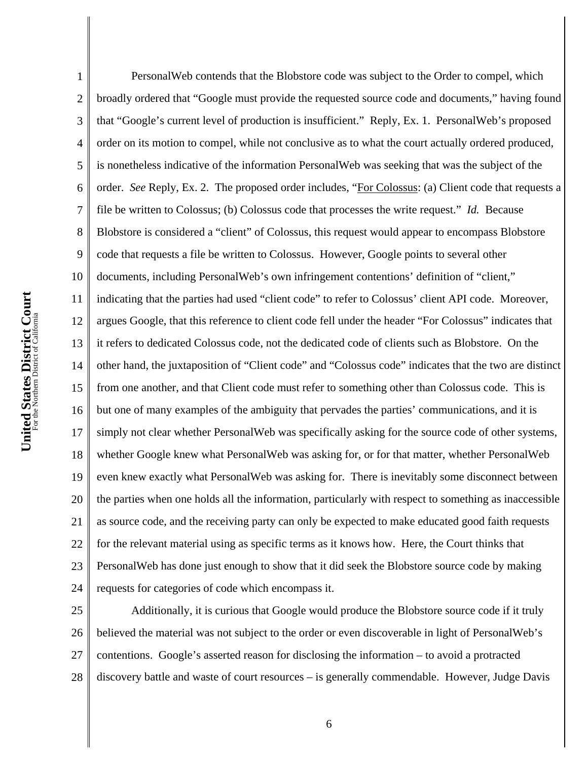1 2 3 4 5 6 7 8 9 10 11 12 13 14 15 16 17 18 19 20 21 22 23 24 PersonalWeb contends that the Blobstore code was subject to the Order to compel, which broadly ordered that "Google must provide the requested source code and documents," having found that "Google's current level of production is insufficient." Reply, Ex. 1. PersonalWeb's proposed order on its motion to compel, while not conclusive as to what the court actually ordered produced, is nonetheless indicative of the information PersonalWeb was seeking that was the subject of the order. *See* Reply, Ex. 2. The proposed order includes, "For Colossus: (a) Client code that requests a file be written to Colossus; (b) Colossus code that processes the write request." *Id.* Because Blobstore is considered a "client" of Colossus, this request would appear to encompass Blobstore code that requests a file be written to Colossus. However, Google points to several other documents, including PersonalWeb's own infringement contentions' definition of "client," indicating that the parties had used "client code" to refer to Colossus' client API code. Moreover, argues Google, that this reference to client code fell under the header "For Colossus" indicates that it refers to dedicated Colossus code, not the dedicated code of clients such as Blobstore. On the other hand, the juxtaposition of "Client code" and "Colossus code" indicates that the two are distinct from one another, and that Client code must refer to something other than Colossus code. This is but one of many examples of the ambiguity that pervades the parties' communications, and it is simply not clear whether PersonalWeb was specifically asking for the source code of other systems, whether Google knew what PersonalWeb was asking for, or for that matter, whether PersonalWeb even knew exactly what PersonalWeb was asking for. There is inevitably some disconnect between the parties when one holds all the information, particularly with respect to something as inaccessible as source code, and the receiving party can only be expected to make educated good faith requests for the relevant material using as specific terms as it knows how. Here, the Court thinks that PersonalWeb has done just enough to show that it did seek the Blobstore source code by making requests for categories of code which encompass it. Additionally, it is curious that Google would produce the Blobstore source code if it truly

25 26 27 28 believed the material was not subject to the order or even discoverable in light of PersonalWeb's contentions. Google's asserted reason for disclosing the information – to avoid a protracted discovery battle and waste of court resources – is generally commendable. However, Judge Davis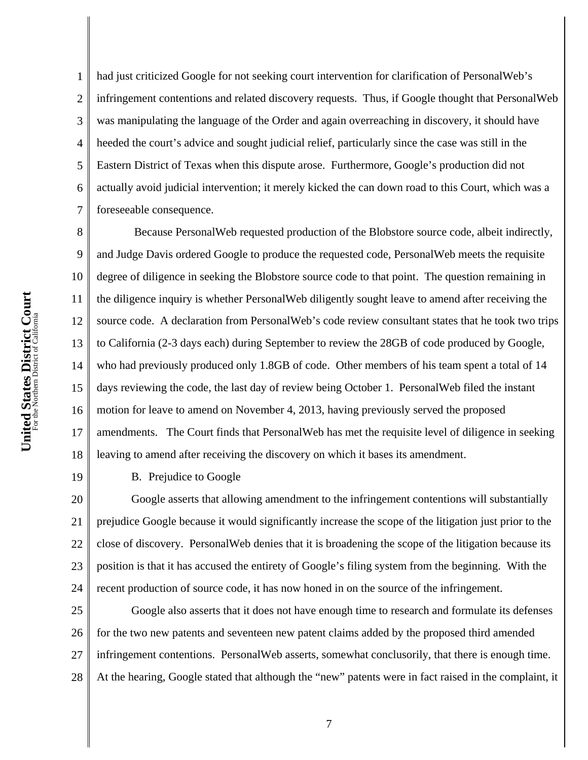1 2 3 4 5 6 7 had just criticized Google for not seeking court intervention for clarification of PersonalWeb's infringement contentions and related discovery requests. Thus, if Google thought that PersonalWeb was manipulating the language of the Order and again overreaching in discovery, it should have heeded the court's advice and sought judicial relief, particularly since the case was still in the Eastern District of Texas when this dispute arose. Furthermore, Google's production did not actually avoid judicial intervention; it merely kicked the can down road to this Court, which was a foreseeable consequence.

8 9 10 12 13 14 18 Because PersonalWeb requested production of the Blobstore source code, albeit indirectly, and Judge Davis ordered Google to produce the requested code, PersonalWeb meets the requisite degree of diligence in seeking the Blobstore source code to that point. The question remaining in the diligence inquiry is whether PersonalWeb diligently sought leave to amend after receiving the source code. A declaration from PersonalWeb's code review consultant states that he took two trips to California (2-3 days each) during September to review the 28GB of code produced by Google, who had previously produced only 1.8GB of code. Other members of his team spent a total of 14 days reviewing the code, the last day of review being October 1. PersonalWeb filed the instant motion for leave to amend on November 4, 2013, having previously served the proposed amendments. The Court finds that PersonalWeb has met the requisite level of diligence in seeking leaving to amend after receiving the discovery on which it bases its amendment.

19

11

15

16

17

B. Prejudice to Google

20 21 22 23 24 Google asserts that allowing amendment to the infringement contentions will substantially prejudice Google because it would significantly increase the scope of the litigation just prior to the close of discovery. PersonalWeb denies that it is broadening the scope of the litigation because its position is that it has accused the entirety of Google's filing system from the beginning. With the recent production of source code, it has now honed in on the source of the infringement.

25 26 27 28 Google also asserts that it does not have enough time to research and formulate its defenses for the two new patents and seventeen new patent claims added by the proposed third amended infringement contentions. PersonalWeb asserts, somewhat conclusorily, that there is enough time. At the hearing, Google stated that although the "new" patents were in fact raised in the complaint, it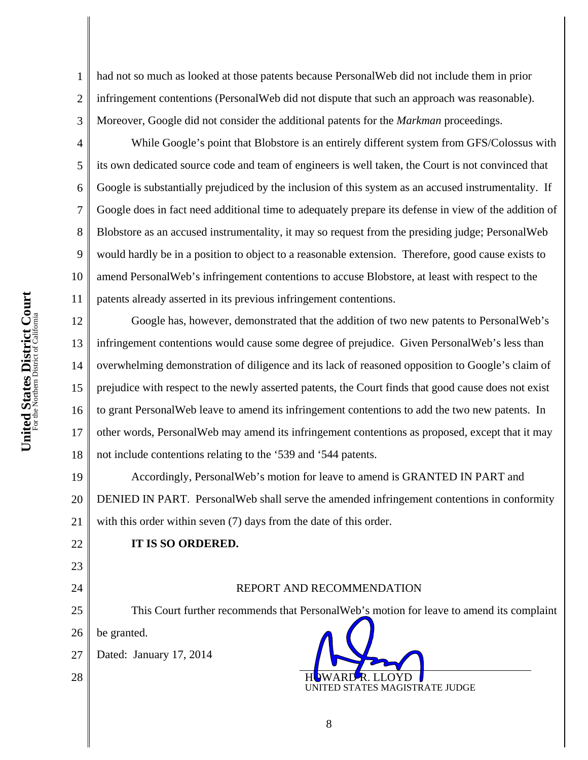1

2

3

4

5

6

7

8

9

10

11

had not so much as looked at those patents because PersonalWeb did not include them in prior infringement contentions (PersonalWeb did not dispute that such an approach was reasonable). Moreover, Google did not consider the additional patents for the *Markman* proceedings.

While Google's point that Blobstore is an entirely different system from GFS/Colossus with its own dedicated source code and team of engineers is well taken, the Court is not convinced that Google is substantially prejudiced by the inclusion of this system as an accused instrumentality. If Google does in fact need additional time to adequately prepare its defense in view of the addition of Blobstore as an accused instrumentality, it may so request from the presiding judge; PersonalWeb would hardly be in a position to object to a reasonable extension. Therefore, good cause exists to amend PersonalWeb's infringement contentions to accuse Blobstore, at least with respect to the patents already asserted in its previous infringement contentions.

12 13 14 15 16 17 18 Google has, however, demonstrated that the addition of two new patents to PersonalWeb's infringement contentions would cause some degree of prejudice. Given PersonalWeb's less than overwhelming demonstration of diligence and its lack of reasoned opposition to Google's claim of prejudice with respect to the newly asserted patents, the Court finds that good cause does not exist to grant PersonalWeb leave to amend its infringement contentions to add the two new patents. In other words, PersonalWeb may amend its infringement contentions as proposed, except that it may not include contentions relating to the '539 and '544 patents.

19 20 21 Accordingly, PersonalWeb's motion for leave to amend is GRANTED IN PART and DENIED IN PART. PersonalWeb shall serve the amended infringement contentions in conformity with this order within seven (7) days from the date of this order.

# **IT IS SO ORDERED.**

# REPORT AND RECOMMENDATION

This Court further recommends that PersonalWeb's motion for leave to amend its complaint

26 be granted.

22

23

24

25

28

27 Dated: January 17, 2014 HOWARD R. LLOYD UNITED STATES MAGISTRATE JUDGE